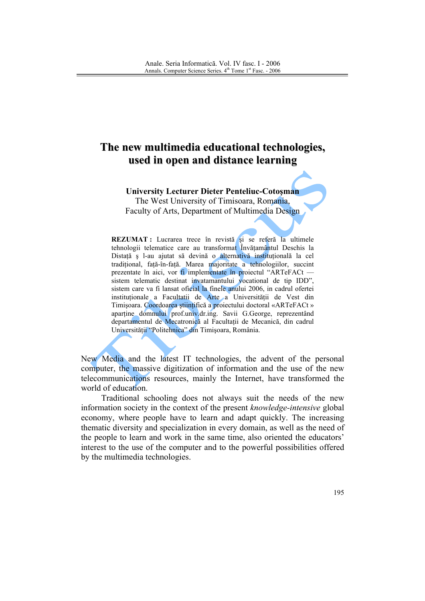## The new multimedia educational technologies, used in open and distance learning

**University Lecturer Dieter Penteliuc-Cotosman** The West University of Timisoara, Romania, Faculty of Arts, Department of Multimedia Design

REZUMAT : Lucrarea trece în revistă și se referă la ultimele tehnologii telematice care au transformat Învătamântul Deschis la Distață ș l-au ajutat să devină o alternativă instituțională la cel tradițional, față-în-față. Marea majoritate a tehnologiilor, succint prezentate în aici, vor fi implementate în projectul "ARTeFACt sistem telematic destinat invatamantului vocational de tip IDD", sistem care va fi lansat oficial la finele anului 2006, in cadrul ofertei instituționale a Facultatii de Arte a Universității de Vest din Timișoara. Coordoarea științifică a proiectului doctoral «ARTeFACt » aparține domnului prof.univ.dr.ing. Savii G.George, reprezentând departamentul de Mecatronică al Facultații de Mecanică, din cadrul Universității "Politehnica" din Timișoara, România.

New Media and the latest IT technologies, the advent of the personal computer, the massive digitization of information and the use of the new telecommunications resources, mainly the Internet, have transformed the world of education.

Traditional schooling does not always suit the needs of the new information society in the context of the present knowledge-intensive global economy, where people have to learn and adapt quickly. The increasing thematic diversity and specialization in every domain, as well as the need of the people to learn and work in the same time, also oriented the educators' interest to the use of the computer and to the powerful possibilities offered by the multimedia technologies.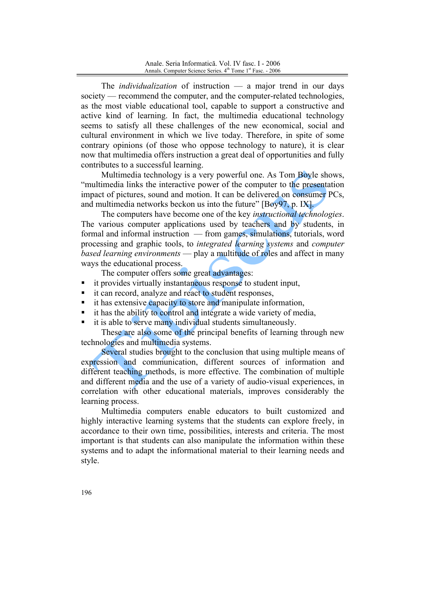The *individualization* of instruction  $-$  a major trend in our days society — recommend the computer, and the computer-related technologies, as the most viable educational tool, capable to support a constructive and active kind of learning. In fact, the multimedia educational technology seems to satisfy all these challenges of the new economical, social and cultural environment in which we live today. Therefore, in spite of some contrary opinions (of those who oppose technology to nature), it is clear now that multimedia offers instruction a great deal of opportunities and fully contributes to a successful learning.

Multimedia technology is a very powerful one. As Tom Boyle shows, "multimedia links the interactive power of the computer to the presentation impact of pictures, sound and motion. It can be delivered on consumer PCs, and multimedia networks beckon us into the future" [Boy97, p. IX].

The computers have become one of the key *instructional technologies*. The various computer applications used by teachers and by students, in formal and informal instruction — from games, simulations, tutorials, word processing and graphic tools, to *integrated learning* systems and *computer* based learning environments — play a multitude of roles and affect in many ways the educational process.

The computer offers some great advantages:

- it provides virtually instantaneous response to student input,
- it can record, analyze and react to student responses,
- it has extensive capacity to store and manipulate information,
- it has the ability to control and integrate a wide variety of media,
- it is able to serve many individual students simultaneously.

These are also some of the principal benefits of learning through new technologies and multimedia systems.

Several studies brought to the conclusion that using multiple means of expression and communication, different sources of information and different teaching methods, is more effective. The combination of multiple and different media and the use of a variety of audio-visual experiences, in correlation with other educational materials, improves considerably the learning process.

Multimedia computers enable educators to built customized and highly interactive learning systems that the students can explore freely, in accordance to their own time, possibilities, interests and criteria. The most important is that students can also manipulate the information within these systems and to adapt the informational material to their learning needs and style.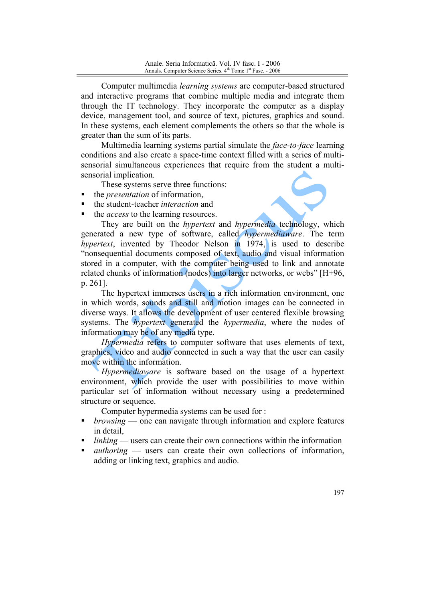Computer multimedia *learning systems* are computer-based structured and interactive programs that combine multiple media and integrate them through the IT technology. They incorporate the computer as a display device, management tool, and source of text, pictures, graphics and sound. In these systems, each element complements the others so that the whole is greater than the sum of its parts.

Multimedia learning systems partial simulate the *face-to-face* learning conditions and also create a space-time context filled with a series of multisensorial simultaneous experiences that require from the student a multisensorial implication.

These systems serve three functions:

- the *presentation* of information,
- the student-teacher *interaction* and
- the *access* to the learning resources.

They are built on the *hypertext* and *hypermedia* technology, which generated a new type of software, called *hypermediaware*. The term hypertext, invented by Theodor Nelson in 1974, is used to describe "nonsequential documents composed of text, audio and visual information stored in a computer, with the computer being used to link and annotate related chunks of information (nodes) into larger networks, or webs" [H+96,  $p. 261$ ].

The hypertext immerses users in a rich information environment, one in which words, sounds and still and motion images can be connected in diverse ways. It allows the development of user centered flexible browsing systems. The *hypertext* generated the *hypermedia*, where the nodes of information may be of any media type.

*Hypermedia* refers to computer software that uses elements of text, graphics, video and audio connected in such a way that the user can easily move within the information.

*Hypermediaware* is software based on the usage of a hypertext environment, which provide the user with possibilities to move within particular set of information without necessary using a predetermined structure or sequence.

Computer hypermedia systems can be used for:

- *browsing* one can navigate through information and explore features in detail
- $linking$  users can create their own connections within the information
- $\alpha$  authoring users can create their own collections of information.  $\blacksquare$ adding or linking text, graphics and audio.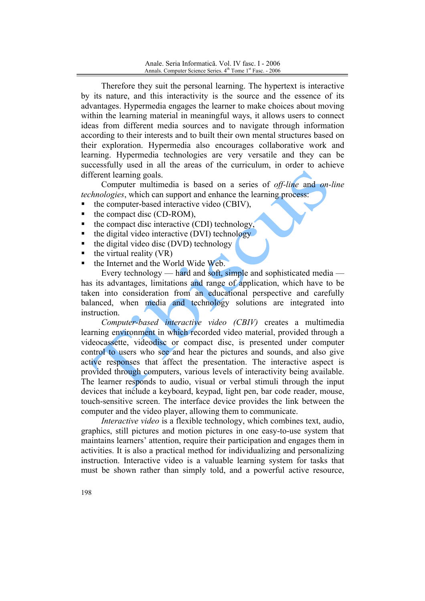Therefore they suit the personal learning. The hypertext is interactive by its nature, and this interactivity is the source and the essence of its advantages. Hypermedia engages the learner to make choices about moving within the learning material in meaningful ways, it allows users to connect ideas from different media sources and to navigate through information according to their interests and to built their own mental structures based on their exploration. Hypermedia also encourages collaborative work and learning. Hypermedia technologies are very versatile and they can be successfully used in all the areas of the curriculum, in order to achieve different learning goals.

Computer multimedia is based on a series of *off-line* and *on-line technologies*, which can support and enhance the learning process:

- the computer-based interactive video (CBIV),
- $\blacksquare$ the compact disc (CD-ROM),
- the compact disc interactive (CDI) technology,
- the digital video interactive (DVI) technology
- the digital video disc (DVD) technology
- the virtual reality (VR)
- the Internet and the World Wide Web.

Every technology — hard and soft, simple and sophisticated media has its advantages, limitations and range of application, which have to be taken into consideration from an educational perspective and carefully balanced, when media and technology solutions are integrated into instruction

Computer-based interactive video (CBIV) creates a multimedia learning environment in which recorded video material, provided through a videocassette, videodisc or compact disc, is presented under computer control to users who see and hear the pictures and sounds, and also give active responses that affect the presentation. The interactive aspect is provided through computers, various levels of interactivity being available. The learner responds to audio, visual or verbal stimuli through the input devices that include a keyboard, keypad, light pen, bar code reader, mouse, touch-sensitive screen. The interface device provides the link between the computer and the video player, allowing them to communicate.

*Interactive video* is a flexible technology, which combines text, audio, graphics, still pictures and motion pictures in one easy-to-use system that maintains learners' attention, require their participation and engages them in activities. It is also a practical method for individualizing and personalizing instruction. Interactive video is a valuable learning system for tasks that must be shown rather than simply told, and a powerful active resource,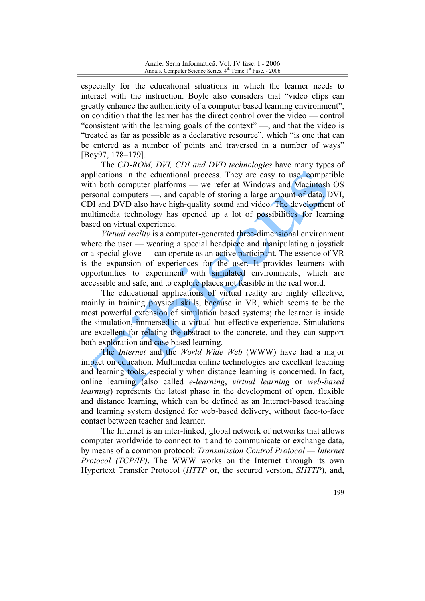especially for the educational situations in which the learner needs to interact with the instruction. Boyle also considers that "video clips can greatly enhance the authenticity of a computer based learning environment". on condition that the learner has the direct control over the video — control "consistent with the learning goals of the context" —, and that the video is "treated as far as possible as a declarative resource", which "is one that can be entered as a number of points and traversed in a number of ways" [Boy97, 178-179].

The CD-ROM, DVI, CDI and DVD technologies have many types of applications in the educational process. They are easy to use, compatible with both computer platforms — we refer at Windows and Macintosh OS personal computers —, and capable of storing a large amount of data. DVI, CDI and DVD also have high-quality sound and video. The development of multimedia technology has opened up a lot of possibilities for learning based on virtual experience.

Virtual reality is a computer-generated three-dimensional environment where the user  $\frac{1}{2}$  wearing a special headpiece and manipulating a joystick or a special glove — can operate as an active participant. The essence of VR is the expansion of experiences for the user. It provides learners with opportunities to experiment with simulated environments, which are accessible and safe, and to explore places not feasible in the real world.

The educational applications of virtual reality are highly effective, mainly in training physical skills, because in VR, which seems to be the most powerful extension of simulation based systems; the learner is inside the simulation, immersed in a virtual but effective experience. Simulations are excellent for relating the abstract to the concrete, and they can support both exploration and case based learning.

The *Internet* and the *World Wide Web* (WWW) have had a major impact on education. Multimedia online technologies are excellent teaching and learning tools, especially when distance learning is concerned. In fact, online learning (also called *e-learning*, *virtual learning* or *web-based learning*) represents the latest phase in the development of open, flexible and distance learning, which can be defined as an Internet-based teaching and learning system designed for web-based delivery, without face-to-face contact between teacher and learner.

The Internet is an inter-linked, global network of networks that allows computer worldwide to connect to it and to communicate or exchange data, by means of a common protocol: Transmission Control Protocol — Internet Protocol (TCP/IP). The WWW works on the Internet through its own Hypertext Transfer Protocol (HTTP or, the secured version, SHTTP), and,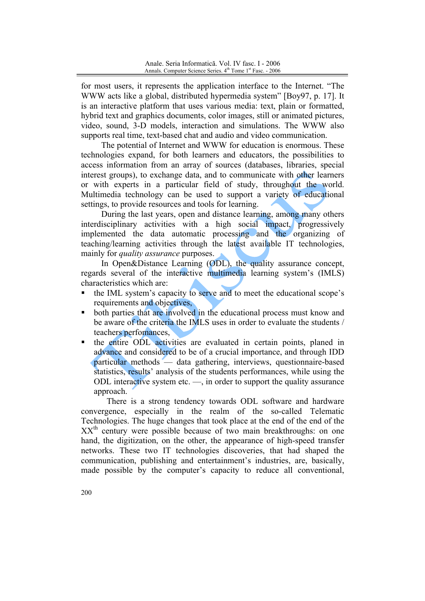for most users, it represents the application interface to the Internet. "The WWW acts like a global, distributed hypermedia system" [Boy97, p. 17]. It is an interactive platform that uses various media: text, plain or formatted, hybrid text and graphics documents, color images, still or animated pictures. video, sound, 3-D models, interaction and simulations. The WWW also supports real time, text-based chat and audio and video communication.

The potential of Internet and WWW for education is enormous. These technologies expand, for both learners and educators, the possibilities to access information from an array of sources (databases, libraries, special interest groups), to exchange data, and to communicate with other learners or with experts in a particular field of study, throughout the world. Multimedia technology can be used to support a variety of educational settings, to provide resources and tools for learning.

During the last years, open and distance learning, among many others interdisciplinary activities with a high social impact, progressively implemented the data automatic processing and the organizing of teaching/learning activities through the latest available IT technologies, mainly for *quality assurance* purposes.

In Open&Distance Learning (ODL), the quality assurance concept, regards several of the interactive multimedia learning system's (IMLS) characteristics which are:

- the IML system's capacity to serve and to meet the educational scope's  $\blacksquare$ requirements and objectives,
- both parties that are involved in the educational process must know and be aware of the criteria the IMLS uses in order to evaluate the students / teachers perfomances.
- the entire ODL activities are evaluated in certain points, planed in  $\blacksquare$ advance and considered to be of a crucial importance, and through IDD particular methods — data gathering, interviews, questionnaire-based statistics, results' analysis of the students performances, while using the ODL interactive system etc. —, in order to support the quality assurance approach.

There is a strong tendency towards ODL software and hardware convergence, especially in the realm of the so-called Telematic Technologies. The huge changes that took place at the end of the end of the  $XX<sup>th</sup>$  century were possible because of two main breakthroughs: on one hand, the digitization, on the other, the appearance of high-speed transfer networks. These two IT technologies discoveries, that had shaped the communication, publishing and entertainment's industries, are, basically, made possible by the computer's capacity to reduce all conventional,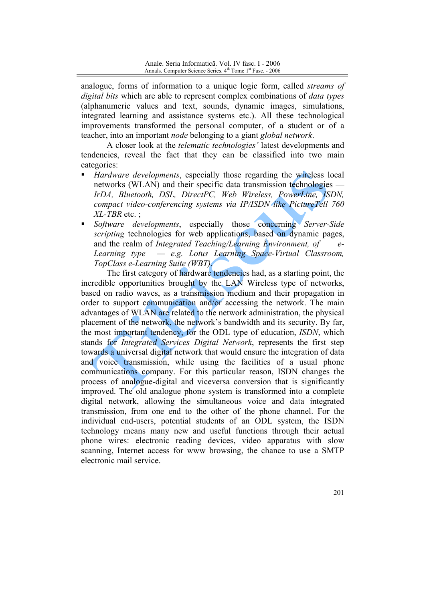analogue, forms of information to a unique logic form, called *streams of digital bits* which are able to represent complex combinations of *data types* (alphanumeric values and text, sounds, dynamic images, simulations, integrated learning and assistance systems etc.). All these technological improvements transformed the personal computer, of a student or of a teacher, into an important node belonging to a giant global network.

A closer look at the *telematic technologies*' latest developments and tendencies, reveal the fact that they can be classified into two main categories:

- *Hardware developments*, especially those regarding the wireless local networks (WLAN) and their specific data transmission technologies — IrDA, Bluetooth, DSL, DirectPC, Web Wireless, PowerLine, ISDN, compact video-conferencing systems via IP/ISDN like PictureTell 760  $XL$ -TBR etc.:
- Software developments, especially those concerning Server-Side scripting technologies for web applications, based on dynamic pages. and the realm of Integrated Teaching/Learning Environment, of  $\rho$ -- e.g. Lotus Learning Space-Virtual Classroom, Learning type TopClass e-Learning Suite (WBT).

The first category of hardware tendencies had, as a starting point, the incredible opportunities brought by the LAN Wireless type of networks, based on radio waves, as a transmission medium and their propagation in order to support communication and/or accessing the network. The main advantages of WLAN are related to the network administration, the physical placement of the network, the network's bandwidth and its security. By far, the most important tendency, for the ODL type of education, *ISDN*, which stands for *Integrated Services Digital Network*, represents the first step towards a universal digital network that would ensure the integration of data and voice transmission, while using the facilities of a usual phone communications company. For this particular reason, ISDN changes the process of analogue-digital and viceversa conversion that is significantly improved. The old analogue phone system is transformed into a complete digital network, allowing the simultaneous voice and data integrated transmission, from one end to the other of the phone channel. For the individual end-users, potential students of an ODL system, the ISDN technology means many new and useful functions through their actual phone wires: electronic reading devices, video apparatus with slow scanning, Internet access for www browsing, the chance to use a SMTP electronic mail service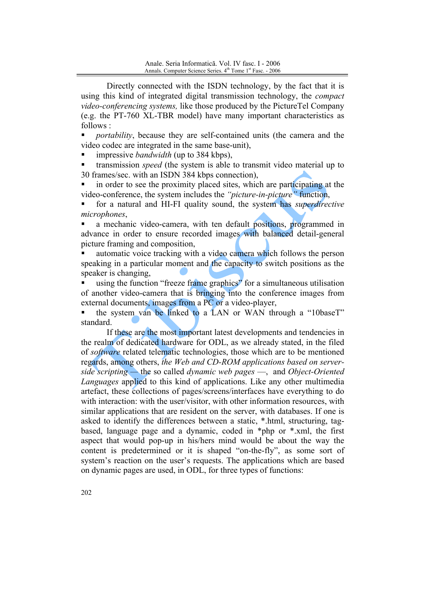Directly connected with the ISDN technology, by the fact that it is using this kind of integrated digital transmission technology, the *compact* video-conferencing systems, like those produced by the PictureTel Company (e.g. the PT-760 XL-TBR model) have many important characteristics as follows:

*portability*, because they are self-contained units (the camera and the video codec are integrated in the same base-unit).

impressive *bandwidth* (up to 384 kbps).

transmission *speed* (the system is able to transmit video material up to 30 frames/sec. with an ISDN 384 kbps connection),

in order to see the proximity placed sites, which are participating at the video-conference, the system includes the "*picture-in-picture*" function,

for a natural and HI-FI quality sound, the system has *superdirective* microphones.

a mechanic video-camera, with ten default positions, programmed in advance in order to ensure recorded images with balanced detail-general picture framing and composition,

automatic voice tracking with a video camera which follows the person speaking in a particular moment and the capacity to switch positions as the speaker is changing.

using the function "freeze frame graphics" for a simultaneous utilisation of another video-camera that is bringing into the conference images from external documents, images from a PC or a video-player,

the system van be linked to a LAN or WAN through a "10baseT" standard.

If these are the most important latest developments and tendencies in the realm of dedicated hardware for ODL, as we already stated, in the filed of *software* related telematic technologies, those which are to be mentioned regards, among others, the Web and CD-ROM applications based on serverside scripting — the so called dynamic web pages —, and Object-Oriented Languages applied to this kind of applications. Like any other multimedia artefact, these collections of pages/screens/interfaces have everything to do with interaction: with the user/visitor, with other information resources, with similar applications that are resident on the server, with databases. If one is asked to identify the differences between a static, \*.html, structuring, tagbased, language page and a dynamic, coded in  $*$ php or  $*$  xml, the first aspect that would pop-up in his/hers mind would be about the way the content is predetermined or it is shaped "on-the-fly", as some sort of system's reaction on the user's requests. The applications which are based on dynamic pages are used, in ODL, for three types of functions: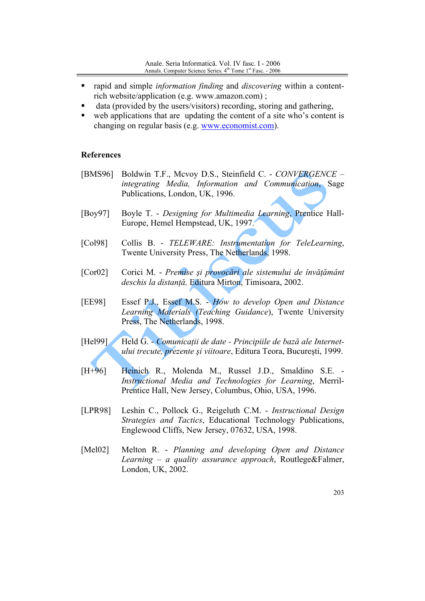- rapid and simple *information finding* and *discovering* within a content- $\blacksquare$ rich website/application (e.g. www.amazon.com);
- data (provided by the users/visitors) recording, storing and gathering,
- web applications that are updating the content of a site who's content is  $\blacksquare$ changing on regular basis (e.g. www.economist.com).

## **References**

- [BMS96] Boldwin T.F., Mcvoy D.S., Steinfield C. - CONVERGENCE integrating Media, Information and Communication, Sage Publications, London, UK, 1996.
- $[Boy97]$ Boyle T. - Designing for Multimedia Learning, Prentice Hall-Europe, Hemel Hempstead, UK, 1997.
- $[Co198]$ Collis B. - TELEWARE: Instrumentation for TeleLearning, Twente University Press, The Netherlands, 1998.
- Corici M. Premise și provocări ale sistemului de învățământ  $[Cor02]$ deschis la distanță, Editura Mirton, Timisoara, 2002.
- **[EE98]** Essef P.J., Essef M.S. - How to develop Open and Distance Learning Materials (Teaching Guidance), Twente University Press, The Netherlands, 1998.
- [Hel99] Held G. - Comunicații de date - Principiile de bază ale Internetului trecute, prezente și viitoare, Editura Teora, București, 1999.
- $[H+96]$ Heinich R., Molenda M., Russel J.D., Smaldino S.E. -Instructional Media and Technologies for Learning, Merril-Prentice Hall, New Jersey, Columbus, Ohio, USA, 1996.
- **[LPR98]** Leshin C., Pollock G., Reigeluth C.M. - *Instructional Design Strategies and Tactics*, Educational Technology Publications, Englewood Cliffs, New Jersey, 07632, USA, 1998.
- $[Mel02]$ Melton R. - Planning and developing Open and Distance Learning – a quality assurance approach, Routlege&Falmer, London, UK, 2002.